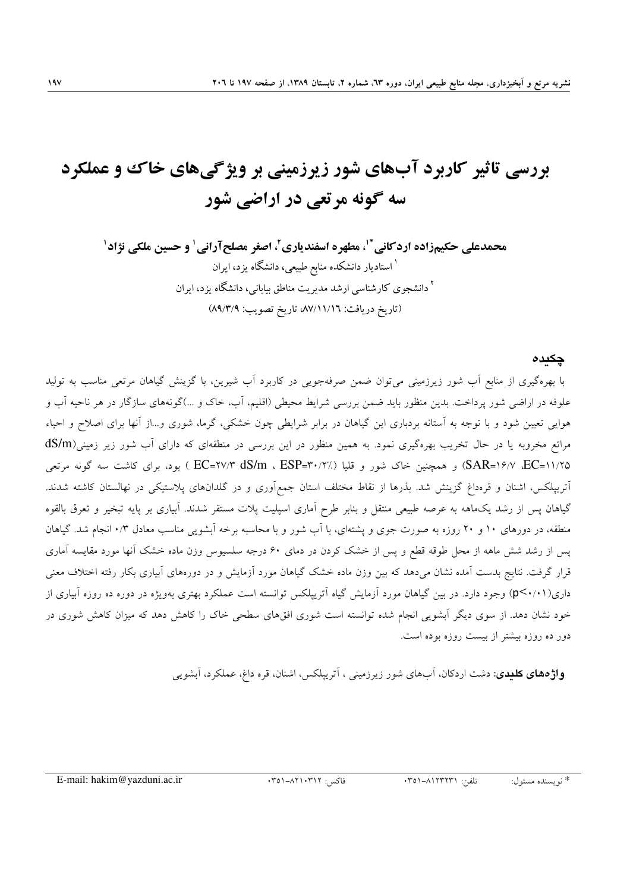# بررسی تاثیر کاربرد آبهای شور زیرزمینی بر ویژگیهای خاک و عملکرد سه گونه مرتعی در اراضی شور

#### چکیدہ

با بهرهگیری از منابع آب شور زیرزمینی میتوان ضمن صرفهجویی در کاربرد آب شیرین، با گزینش گیاهان مرتعی مناسب به تولید علوفه در اراضی شور پرداخت. بدین منظور باید ضمن بررسی شرایط محیطی (اقلیم، آب، خاک و …)گونههای سازگار در هر ناحیه آب و هوایی تعیین شود و با توجه به استانه بردباری این گیاهان در برابر شرایطی چون خشکی، گرما، شوری و…از انها برای اصلاح و احیاء مراتع مخروبه یا در حال تخریب بهرهگیری نمود. به همین منظور در این بررسی در منطقهای که دارای آب شور زیر زمینی(dS/m ۱۱/۲۵=SAR) (SAR) و همچنین خاک شور و قلیا (٪۴۰/۲٪ EC=۲۷/۳ dS/m ، ESP=۳۰/۲ ) بود، برای کاشت سه گونه مرتعی اتریپلکس، اشنان و قرەداغ گزینش شد. بذرها از نقاط مختلف استان جمع**آوری و در گلدانهای پلاستیکی در نهالستان** کاشته شدند. گیاهان پس از رشد یک0هه به عرصه طبیعی منتقل و بنابر طرح آماری اسپلیت پلات مستقر شدند. آبیاری بر پایه تبخیر و تعرق بالقوه منطقه، در دورهای ۱۰ و ۲۰ روزه به صورت جوی و یشتهای، با آب شور و با محاسبه برخه آبشویی مناسب معادل ۰/۳ انجام شد. گیاهان یس از رشد شش ماهه از محل طوقه قطع و پس از خشک کردن در دمای ۶۰ درجه سلسپوس وزن ماده خشک آنها مورد مقایسه آماری قرار گرفت. نتایج بدست آمده نشان میدهد که بین وزن ماده خشک گیاهان مورد آزمایش و در دورههای آبیاری بکار رفته اختلاف معنی داری(p<۰/۱) وجود دارد. در بین گیاهان مورد آزمایش گیاه آتریپلکس توانسته است عملکرد بهتری بهویژه در دوره ده روزه آبیاری از خود نشان دهد. از سوی دیگر آبشویی انجام شده توانسته است شوری افقهای سطحی خاک را کاهش دهد که میزان کاهش شوری در دور ده روزه بیشتر از بیست روزه بوده است.

**واژههای کلیدی**: دشت اردکان، آبهای شور زیرزمینی ، آتریپلکس، اشنان، قره داغ، عملکرد، آبشویی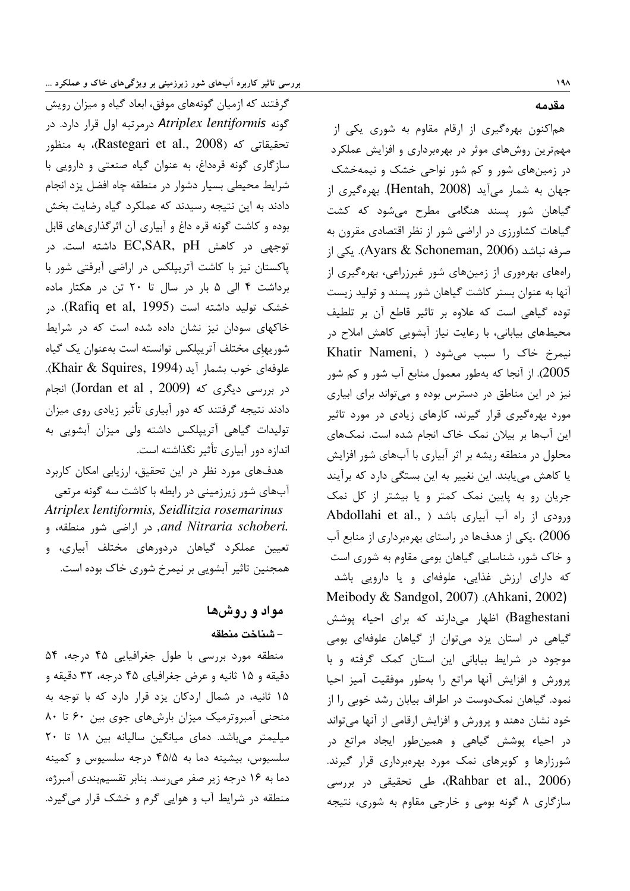گرفتند که ازمیان گونههای موفق، ابعاد گیاه و میزان رویش گونه Atriplex lentiformis درمرتبه اول قرار دارد. در تحقيقاتي كه (Rastegari et al., 2008)، به منظور سازگاری گونه قرهداغ، به عنوان گیاه صنعتی و دارویی با شرايط محيطى بسيار دشوار در منطقه چاه افضل يزد انجام دادند به این نتیجه رسیدند که عملکرد گیاه رضایت بخش بوده و کاشت گونه قره داغ و آبیاری آن اثرگذاریهای قابل توجهی در کاهش EC,SAR, pH داشته است. در پاکستان نیز با کاشت آتریپلکس در اراضی آبرفتی شور با برداشت ۴ الی ۵ بار در سال تا ۲۰ تن در هکتار ماده خشک تولید داشته است (Rafiq et al, 1995). در خاکهای سودان نیز نشان داده شده است که در شرایط شوريهاِي مختلف آترييلكس توانسته است بهعنوان يک گياه علوفهای خوب بشمار آید (Khair & Squires, 1994).  $\mu$ در بررسی دیگری که (Jordan et al , 2009) انجام دادند نتیجه گرفتند که دور آبیاری تأثیر زیادی روی میزان تولیدات گیاهی آتریپلکس داشته ولی میزان آبشویی به اندازه دور آبیاری تأثیر نگذاشته است.

هدفهای مورد نظر در این تحقیق، ارزیابی امکان کاربرد آبهای شور زیرزمینی در رابطه با کاشت سه گونه مرتعی Atriplex lentiformis, Seidlitzia rosemarinus .and Nitraria schoberi, در اراضی شور منطقه، و تعیین عملکرد گیاهان دردورهای مختلف آبیاری، و همجنین تاثیر آبشویی بر نیمرخ شوری خاک بوده است.

# مواد و روشها – شناخت منطقه

منطقه مورد بررسی با طول جغرافیایی ۴۵ درجه، ۵۴ دقیقه و ۱۵ ثانیه و عرض جغرافیای ۴۵ درجه، ۳۲ دقیقه و ۱۵ ثانیه، در شمال اردکان یزد قرار دارد که با توجه به منحنی آمبروترمیک میزان بارشهای جوی بین ۶۰ تا ۸۰ میلیمتر میباشد. دمای میانگین سالیانه بین ۱۸ تا ۲۰ سلسيوس، بيشينه دما به ۴۵/۵ درجه سلسيوس و كمينه دما به ۱۶ درجه زیر صفر می رسد. بنابر تقسیم بندی آمبرژه، منطقه در شرایط آب و هوایی گرم و خشک قرار می گیرد. مقدمه

هماکنون بهرهگیری از ارقام مقاوم به شوری یکی از مهمترین روشهای موثر در بهرهبرداری و افزایش عملکرد در زمینهای شور و کم شور نواحی خشک و نیمهخشک جهان به شمار میآید (Hentah, 2008). بهرهگیری از گیاهان شور پسند هنگامی مطرح میشود که کشت گیاهات کشاورزی در اراضی شور از نظر اقتصادی مقرون به i). مرفه نباشد (Ayars & Schoneman, 2006). یکی از راههای بهرهوری از زمینهای شور غیرزراعی، بهرهگیری از آنها به عنوان بستر كاشت گیاهان شور پسند و تولید زیست توده گیاهی است که علاوه بر تاثیر قاطع آن بر تلطیف محیطهای بیابانی، با رعایت نیاز آبشویی کاهش املاح در نيمرخ خاک ,ا سبب مي شود ( Khatir Nameni, 2005). از آنجا که بهطور معمول منابع آب شور و کم شور نیز در این مناطق در دسترس بوده و می تواند برای ابیاری مورد بهرهگیری قرار گیرند، کارهای زیادی در مورد تاثیر این آبها بر بیلان نمک خاک انجام شده است. نمکهای محلول در منطقه ریشه بر اثر آبیاری با آبهای شور افزایش یا کاهش می یابند. این نغییر به این بستگی دارد که برآیند جریان رو به پایین نمک کمتر و یا بیشتر از کل نمک Abdollahi et al., ) بیاری باشد ( Abdollahi et al., 2006) .یکی از هدفها در راستای بهرهبرداری از منابع آب و خاک شور، شناسایی گیاهان بومی مقاوم به شوری است که دارای ارزش غذایی، علوفهای و یا دارویی باشد Meibody & Sandgol, 2007) .(Ahkani, 2002) Baghestani) اظهار میدارند که برای احیاء یوشش گیاهی در استان یزد میتوان از گیاهان علوفهای بومی موجود در شرایط بیابانی این استان کمک گرفته و با پرورش و افزایش آنها مراتع را بهطور موفقیت آمیز احیا نمود. گیاهان نمکدوست در اطراف بیابان رشد خوبی را از خود نشان دهند و پرورش و افزایش ارقامی از آنها میتواند در احیاء پوشش گیاهی و همینطور ایجاد مراتع در شورزارها و کویرهای نمک مورد بهرهبرداری قرار گیرند. (Rahbar et al., 2006)، طی تحقیقی در بررسی سازگاری ۸ گونه بومی و خارجی مقاوم به شوری، نتیجه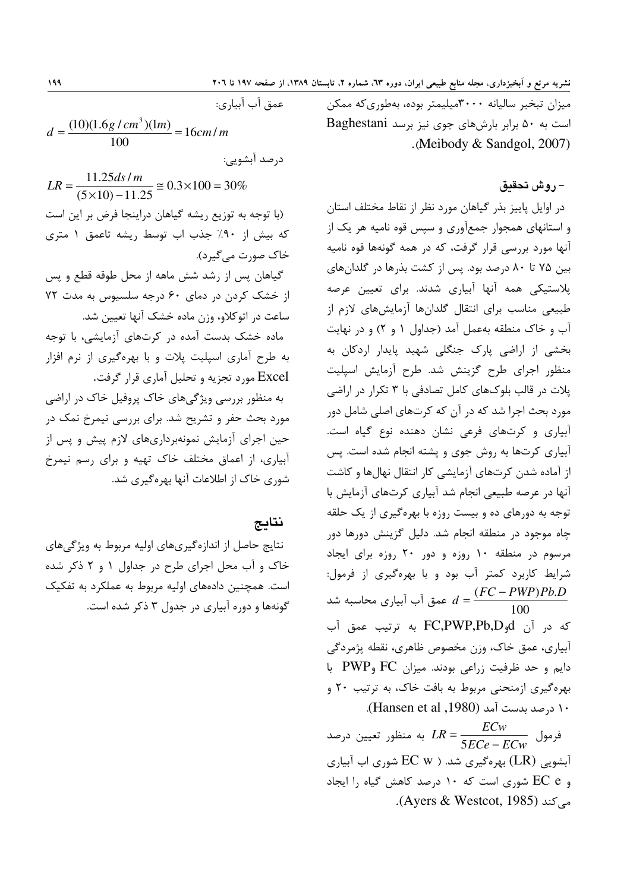میزان تبخیر سالیانه ۳۰۰۰میلیمتر بوده، بهطوریکه ممکن است به ۵۰ برابر بارش های جوی نیز برسد Baghestani .(Meibody & Sandgol, 2007)

#### – روش تحقيق

در اوایل پاییز بذر گیاهان مورد نظر از نقاط مختلف استان و استانهای همجوار جمعآوری و سپس قوه نامیه هر یک از آنها مورد بررسی قرار گرفت، که در همه گونهها قوه نامیه بین ۷۵ تا ۸۰ درصد بود. پس از کشت بذرها در گلدانهای پلاستیکی همه آنها آبیاری شدند. برای تعیین عرصه طبیعی مناسب برای انتقال گلدانها آزمایشهای لازم از آب و خاک منطقه بهعمل آمد (جداول ۱ و ۲) و در نهایت بخشی از اراضی پارک جنگلی شهید پایدار اردکان به منظور اجرای طرح گزینش شد. طرح آزمایش اسپلیت پلات در قالب بلوکهای کامل تصادفی با ۳ تکرار در اراضی مورد بحث اجرا شد که در آن که کرتهای اصلی شامل دور آبیاری و کرتهای فرعی نشان دهنده نوع گیاه است. آبیاری کرتها به روش جوی و یشته انجام شده است. پس از آماده شدن کرتهای آزمایشی کار انتقال نهالها و کاشت آنها در عرصه طبیعی انجام شد آبیاری کرتهای آزمایش با توجه به دورهای ده و بیست روزه با بهرهگیری از یک حلقه .<br>چاه موجود در منطقه انجام شد. دلیل گزینش دورها دور مرسوم در منطقه ۱۰ روزه و دور ۲۰ روزه برای ایجاد شرایط کاربرد کمتر آب بود و با بهرهگیری از فرمول: عمق آب آبیاری محاسبه شد  $d = \frac{(FC-PWP)Pb.D}{100}$ كه در آن FC,PWP,Pb,D به ترتيب عمق آب آبیاری، عمق خاک، وزن مخصوص ظاهری، نقطه پژمردگی دايم وحد ظرفيت زراعي بودند. ميزان FC وPWP با بهرهگیری ازمنحنی مربوط به بافت خاک، به ترتیب ۲۰ و ١٠ درصد بدست آمد (Hansen et al ,1980).

فرمول  $LR = \frac{ECw}{5ECe - FCw}$  به منظور تعیین درصد آبشویی (LR) بهرهگیری شد. ( EC w شوری اب آبیاری و EC e شوری است که ۱۰ درصد کاهش گیاه را ایجاد مے کند (Ayers & Westcot, 1985).

 $d = \frac{(10)(1.6g/cm^3)(1m)}{100} = 16cm/m$ درصد آبشویے:  $LR = \frac{11.25ds/m}{(5 \times 10) - 11.25} \approx 0.3 \times 100 = 30\%$ (با توجه به توزیع ریشه گیاهان دراینجا فرض بر این است که بیش از ۹۰٪ جذب اب توسط ریشه تاعمق ۱ متری خاک صورت مے گیر د). گیاهان پس از رشد شش ماهه از محل طوقه قطع و پس از خشک کردن در دمای ۶۰ درجه سلسیوس به مدت ۷۲ ساعت در اتوکلاو، وزن ماده خشک آنها تعیین شد. ماده خشک بدست آمده در کرتهای آزمایشی، با توجه به طرح آماری اسیلیت پلات و با بهرهگیری از نرم افزار Excel مورد تجزیه و تحلیل آماری قرار گرفت. به منظور بررسی ویژگیهای خاک پروفیل خاک در اراضی مورد بحث حفر و تشریح شد. برای بررسی نیمرخ نمک در حین اجرای آزمایش نمونهبرداریهای لازم پیش و پس از آبیاری، از اعماق مختلف خاک تهیه و برای رسم نیمرخ

شوری خاک از اطلاعات آنها بهرهگیری شد.

#### نتايج

عمق آب آساري:

نتایج حاصل از اندازهگیریهای اولیه مربوط به ویژگیهای خاک و آب محل اجرای طرح در جداول ۱ و ۲ ذکر شده است. همچنین دادههای اولیه مربوط به عملکرد به تفکیک گونهها و دوره آبیاری در جدول ۳ ذکر شده است.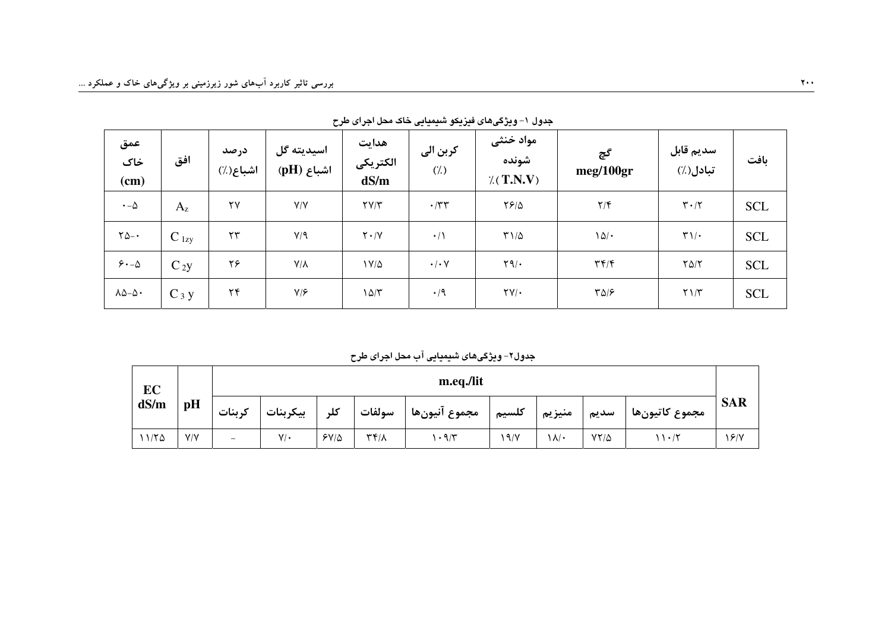| عمق<br>خاک<br>(cm)       | افق       | درصد<br>اشباع(٪)       | اسيديته گل<br>اشباع (pH) | هدايت<br>الكتريكي<br>dS/m | كربن الى<br>(7) | مواد خنثى<br>شونده<br>$\chi(T.N.V)$ | گچ<br>meg/100gr                    | سديم قابل<br>تبادل(٪)           | بافت       |
|--------------------------|-----------|------------------------|--------------------------|---------------------------|-----------------|-------------------------------------|------------------------------------|---------------------------------|------------|
| $\cdot$ - $\Delta$       | $A_{z}$   | $\mathsf{Y}\mathsf{Y}$ | Y/Y                      | $\Upsilon V/\Upsilon$     | $\cdot$ /٣٣     | $YF/\Delta$                         | $\mathbf{Y}/\mathbf{F}$            | $\mathbf{Y} \cdot / \mathbf{Y}$ | <b>SCL</b> |
| $\gamma_{\Delta-}$ .     | $C_{1zy}$ | $\mathsf{Y}\mathsf{Y}$ | Y/9                      | $Y \cdot / Y$             | $\cdot/$        | $T1/\Delta$                         | 101                                | $\Upsilon$ )/ .                 | <b>SCL</b> |
| $5 - \Delta$             | $C_{2}y$  | ۲۶                     | $Y/\lambda$              | $V/\Delta$                | $\cdot/\cdot$ Y | $\mathcal{M}(\cdot)$                | $\mathbf{r} \mathbf{r}/\mathbf{r}$ | $Y\Delta/Y$                     | <b>SCL</b> |
| $\lambda\Delta-\Delta$ . | $C_3 y$   | ۲۴                     | $Y/\mathcal{F}$          | $\frac{\Delta}{\tau}$     | $\cdot$ /9      | $\Upsilon V/\cdot$                  | $Y\Delta/F$                        | $Y \setminus /Y$                | <b>SCL</b> |

جدول ١- ويژگيهاي فيزيکو شيميايي خاک محل اجراي طرح

جدول۲- ویژگیهای شیمیایی آب محل اجرای طرح

| EC    | m.eq./lit |         |           |             |                             |               |       |        |             |                |            |
|-------|-----------|---------|-----------|-------------|-----------------------------|---------------|-------|--------|-------------|----------------|------------|
| dS/m  | pH        | کر ىنات | بيكربنات  | کلہ         | سولفات                      | مجموع آنيونها | كلسيم | منيزيم | سديم        | مجموع كاتيونها | <b>SAR</b> |
| 11/70 | Y/Y       | -       | $V/\cdot$ | $5Y/\Delta$ | $\uparrow\uparrow/\uparrow$ | $\cdot$ 9/۳   | 9/    | ۱۸/۰   | $YY/\Delta$ | 11.7           | 18/7       |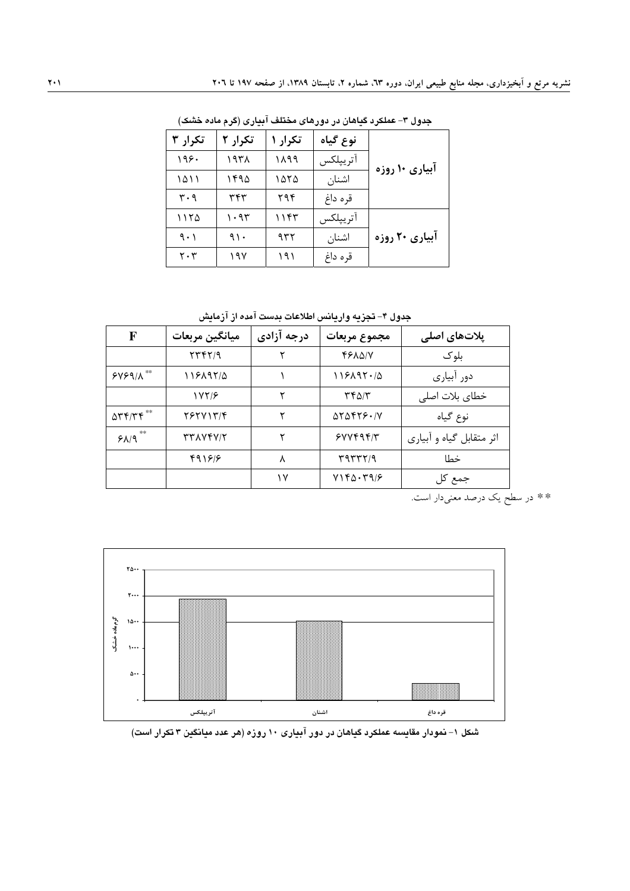| تکرار ۳                       | تکرار ۲ | تکرار ۱ | نوع گياه |                |
|-------------------------------|---------|---------|----------|----------------|
| ۱۹۶۰                          | ۱۹۳۸    | ۱۸۹۹    | اتريپلكس | آبیاری ۱۰ روزه |
| ۱۵۱۱                          | ۱۴۹۵    | ۱۵۲۵    | اشنان    |                |
| ۳۰۹                           | ۳۴۳     | ۲۹۴     | قره داغ  |                |
| ۱۱۲۵                          | ۱۰۹۳    | ۱۱۴۳    | آترييلكس |                |
| 9.1                           | ۹۱۰     | ۹۳۲     | اشنان    | آبیاری ۲۰ روزه |
| $\mathbf{Y} \cdot \mathbf{Y}$ | ۱۹۷     | ۱۹۱     | قره داغ  |                |

جدول ۳- عملکرد گیاهان در دورهای مختلف آبیاری (گرم ماده خشک)

جدول ۴– تجزيه واريانس اطلاعات بدست آمده از آزمايش

| F                                                       | ميانگين مربعات | درجه آزادي | مجموع مربعات                                | پلاتھای اصلی             |  |
|---------------------------------------------------------|----------------|------------|---------------------------------------------|--------------------------|--|
|                                                         | YYYY           | ۲          | <b>FELQIV</b>                               | بلوک                     |  |
| $SYS9/\Lambda$                                          | ۱۱۶۸۹۲/۵       |            | 119197.40                                   | دور آبیاری               |  |
|                                                         | 18718          | ۲          | ۳۴۵/۳                                       | خطای بلات اصلی           |  |
| $\Delta \mathbf{r} \mathbf{r}/\mathbf{r} \mathbf{r}$ ** | Y              | ۲          | $\Delta Y \Delta f Y \mathcal{F} \cdot / Y$ | نوع گیاه                 |  |
| **<br>$P\Lambda$                                        | TTAVFV/T       |            | 5YY595/Y                                    | اثر متقابل گیاه و آبیاری |  |
|                                                         | 491818         | ٨          | 4977779                                     | خطا                      |  |
|                                                         |                | ۱۷         | YY6.797                                     | جمع کل                   |  |

\*\* در سطح یک درصد معنیدار است.



شکل ۱– نمودار مقایسه عملکرد گیاهان در دور آبیاری ۱۰ روزه (هر عدد میانگین ۳ تکرار است)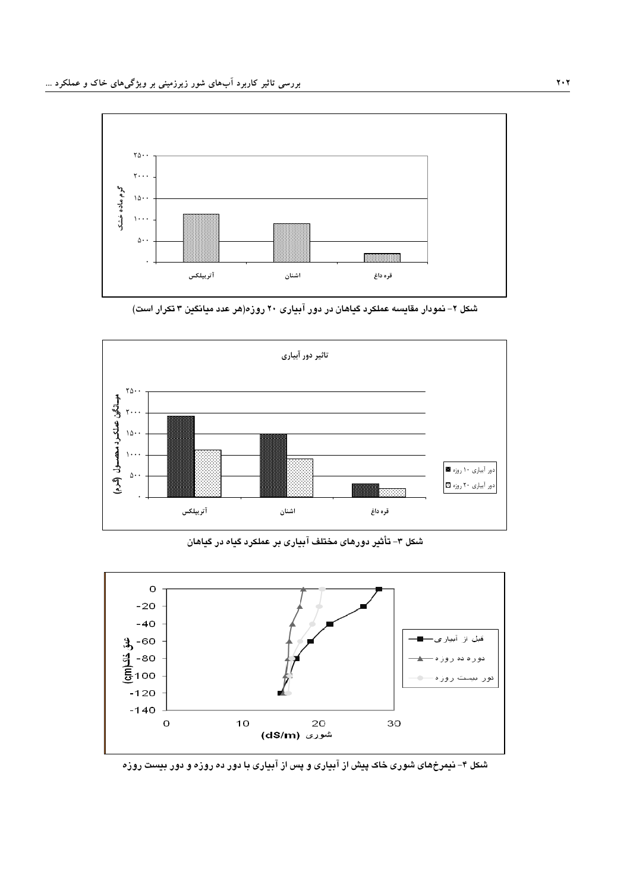

شکل ۲– نمودار مقایسه عملکرد گیاهان در دور آبیاری ۲۰ روزه(هر عدد میانگین ۳ تکرار است)



شکل ۳- تأثیر دورهای مختلف آبیاری بر عملکرد گیاه در گیاهان



شکل ۴- نیمرخهای شوری خاک پیش از آبیاری و پس از آبیاری با دور ده روزه و دور بیست روزه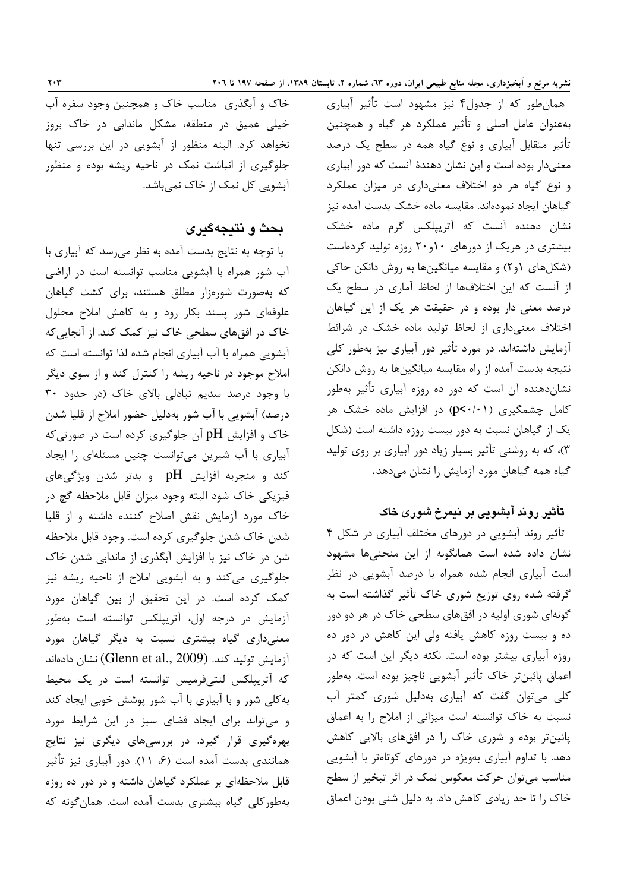همان طور که از جدول۴ نیز مشهود است تأثیر آبیاری بهعنوان عامل اصلی و تأثیر عملکرد هر گیاه و همچنین تأثیر متقابل آبیاری و نوع گیاه همه در سطح یک درصد معنیدار بوده است و این نشان دهندهٔ آنست که دور آبیاری و نوع گیاه هر دو اختلاف معنیداری در میزان عملکرد گیاهان ایجاد نمودهاند. مقایسه ماده خشک بدست آمده نیز نشان دهنده آنست که آتریپلکس گرم ماده خشک بیشتری در هریک از دورهای ۱۰و۲۰ روزه تولید کردهاست (شکلهای ۶۱) و مقایسه میانگینها به روش دانکن حاکی از آنست که این اختلافها از لحاظ آماری در سطح یک درصد معنی دار بوده و در حقیقت هر یک از این گیاهان اختلاف معنى دارى از لحاظ توليد ماده خشک در شرائط آزمایش داشتهاند. در مورد تأثیر دور آبیاری نیز بهطور کلی نتیجه بدست آمده از راه مقایسه میانگینها به روش دانکن نشان دهنده آن است که دور ده روزه آبیاری تأثیر بهطور کامل چشمگیری (p<۰/۰۱) در افزایش ماده خشک هر یک از گیاهان نسبت به دور بیست روزه داشته است (شکل ۳)، که به روشنی تأثیر بسیار زیاد دور آبیاری بر روی تولید گیاه همه گیاهان مورد آزمایش را نشان میدهد.

## تأثیر روند آبشویی بر نیمرخ شوری خاک

تأثیر روند آبشویی در دورهای مختلف آبیاری در شکل ۴ نشان داده شده است همانگونه از این منحنیها مشهود است آبیاری انجام شده همراه با درصد آبشویی در نظر گرفته شده روی توزیع شوری خاک تأثیر گذاشته است به گونهای شوری اولیه در افقهای سطحی خاک در هر دو دور ده و بیست روزه کاهش یافته ولی این کاهش در دور ده روزه آبیاری بیشتر بوده است. نکته دیگر این است که در اعماق پائینتر خاک تأثیر آبشویی ناچیز بوده است. بهطور کلی میتوان گفت که آبیاری بهدلیل شوری کمتر آب نسبت به خاک توانسته است میزانی از املاح را به اعماق پائینتر بوده و شوری خاک را در افقهای بالایی کاهش دهد. با تداوم آبیاری بهویژه در دورهای کوتاهتر با آبشویی مناسب میتوان حرکت معکوس نمک در اثر تبخیر از سطح خاک را تا حد زیادی کاهش داد. به دلیل شنی بودن اعماق

خاک و آبگذری مناسب خاک و همچنین وجود سفره آب خیلی عمیق در منطقه، مشکل ماندایی در خاک بروز نخواهد کرد. البته منظور از آبشویی در این بررسی تنها جلوگیری از انباشت نمک در ناحیه ریشه بوده و منظور آبشویی کل نمک از خاک نمیباشد.

## بحث و نتيجهگيري

با توجه به نتایج بدست آمده به نظر می رسد که آبیاری با آب شور همراه با آبشویی مناسب توانسته است در اراضی که بهصورت شورهزار مطلق هستند، برای کشت گیاهان علوفهای شور پسند بکار رود و به کاهش املاح محلول خاک در افقهای سطحی خاک نیز کمک کند. از آنجایی که آبشویی همراه با آب آبیاری انجام شده لذا توانسته است که املاح موجود در ناحیه ریشه را کنترل کند و از سوی دیگر با وجود درصد سديم تبادلى بالاى خاک (در حدود ٣٠ درصد) آبشویی با آب شور بهدلیل حضور املاح از قلیا شدن خاک و افزایش pH آن جلوگیری کرده است در صورتی که آبیاری با آب شیرین میتوانست چنین مسئلهای را ایجاد کند و منجربه افزایش pH و بدتر شدن ویژگیهای .<br>فيزيكي خاك شود البته وجود ميزان قابل ملاحظه گچ در خاک مورد آزمایش نقش اصلاح کننده داشته و از قلیا شدن خاک شدن جلوگیری کرده است. وجود قابل ملاحظه شن در خاک نیز با افزایش آبگذری از ماندابی شدن خاک جلوگیری میکند و به آبشویی املاح از ناحیه ریشه نیز كمك كرده است. در اين تحقيق از بين گياهان مورد آزمایش در درجه اول، آترییلکس توانسته است بهطور معنیداری گیاه بیشتری نسبت به دیگر گیاهان مورد آزمايش توليد كند. (Glenn et al., 2009) نشان دادهاند كه آتریپلكس لنتىفرميس توانسته است در یک محیط به کلی شور و با آبیاری با آب شور پوشش خوبی ایجاد کند و می تواند برای ایجاد فضای سبز در این شرایط مورد بهرهگیری قرار گیرد. در بررسیهای دیگری نیز نتایج همانندی بدست آمده است (۶، ۱۱). دور آبیاری نیز تأثیر قابل ملاحظهای بر عملکرد گیاهان داشته و در دور ده روزه بهطورکلی گیاه بیشتری بدست آمده است. همان گونه که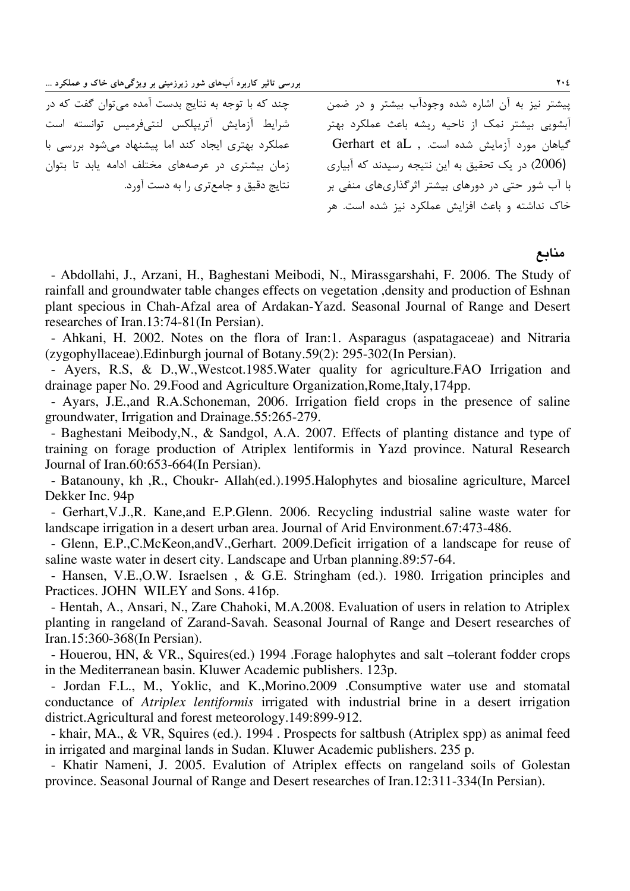رسی تاثیر کاربرد آبهای شور زیرزمینی بر ویژگیهای خاک و عملکرد …

حند که با توجه به نتایج بدست آمده می توان گفت که د. شرايط أزمايش أتربيلكس لنترفرميس توانسته است عملک د بهتری ابجاد کند اما بیشنهاد مرشود برس*ی* با :مان پیشتری در عرصههای مختلف ادامه باید تا پتوان .<br>نتایج دقیق و جامع *تری* را به دست آورد. بیشتر نیز به آن اشاره شده وجودآب بیشتر و در ضمن .<br>آیشویی بیشتر نمک از ناحیه رشه باعث عملکرد بهتر گیاهان مورد آزمایش شده است. , Gerhart et aL (2006) در یک تحقیق به این نتیجه رسیدند که آبیاری ا آب شور حتی در دورهای بیشتر اثرگذاری های منفی بر j .<br>خاک نداشته و باعث افزایش عملکرد نیز شده است. هر

#### منابع

- Abdollahi, J., Arzani, H., Baghestani Meibodi, N., Mirassgarshahi, F. 2006. The Study of rainfall and groundwater table changes effects on vegetation ,density and production of Eshnan plant specious in Chah-Afzal area of Ardakan-Yazd. Seasonal Journal of Range and Desert researches of Iran.13:74-81(In Persian).

- Ahkani, H. 2002. Notes on the flora of Iran:1. Asparagus (aspatagaceae) and Nitraria (zygophyllaceae).Edinburgh journal of Botany.59(2): 295-302(In Persian).

- Ayers, R.S, & D.,W.,Westcot.1985.Water quality for agriculture.FAO Irrigation and drainage paper No. 29.Food and Agriculture Organization,Rome,Italy,174pp.

- Ayars, J.E.,and R.A.Schoneman, 2006. Irrigation field crops in the presence of saline groundwater, Irrigation and Drainage.55:265-279.

- Baghestani Meibody,N., & Sandgol, A.A. 2007. Effects of planting distance and type of training on forage production of Atriplex lentiformis in Yazd province. Natural Research Journal of Iran.60:653-664(In Persian).

- Batanouny, kh ,R., Choukr- Allah(ed.).1995.Halophytes and biosaline agriculture, Marcel Dekker Inc. 94p

- Gerhart,V.J.,R. Kane,and E.P.Glenn. 2006. Recycling industrial saline waste water for landscape irrigation in a desert urban area. Journal of Arid Environment.67:473-486.

- Glenn, E.P.,C.McKeon,andV.,Gerhart. 2009.Deficit irrigation of a landscape for reuse of saline waste water in desert city. Landscape and Urban planning.89:57-64.

- Hansen, V.E.,O.W. Israelsen , & G.E. Stringham (ed.). 1980. Irrigation principles and Practices. JOHN WILEY and Sons. 416p.

- Hentah, A., Ansari, N., Zare Chahoki, M.A.2008. Evaluation of users in relation to Atriplex planting in rangeland of Zarand-Savah. Seasonal Journal of Range and Desert researches of Iran.15:360-368(In Persian).

- Houerou, HN, & VR., Squires(ed.) 1994 .Forage halophytes and salt –tolerant fodder crops in the Mediterranean basin. Kluwer Academic publishers. 123p.

- Jordan F.L., M., Yoklic, and K.,Morino.2009 .Consumptive water use and stomatal conductance of *Atriplex lentiformis* irrigated with industrial brine in a desert irrigation district.Agricultural and forest meteorology.149:899-912.

- khair, MA., & VR, Squires (ed.). 1994 . Prospects for saltbush (Atriplex spp) as animal feed in irrigated and marginal lands in Sudan. Kluwer Academic publishers. 235 p.

- Khatir Nameni, J. 2005. Evalution of Atriplex effects on rangeland soils of Golestan province. Seasonal Journal of Range and Desert researches of Iran.12:311-334(In Persian).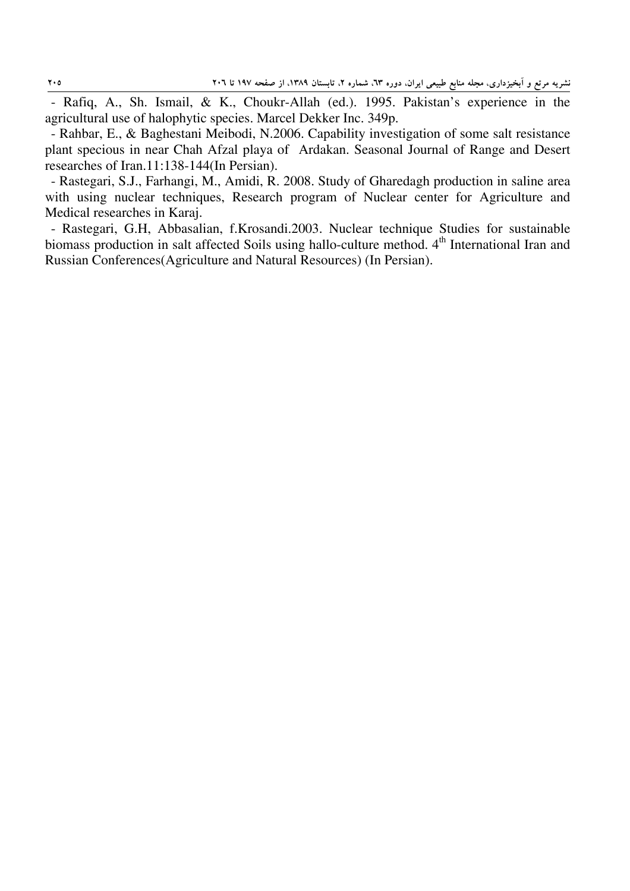- Rafiq, A., Sh. Ismail, & K., Choukr-Allah (ed.). 1995. Pakistan's experience in the agricultural use of halophytic species. Marcel Dekker Inc. 349p.

- Rahbar, E., & Baghestani Meibodi, N.2006. Capability investigation of some salt resistance plant specious in near Chah Afzal playa of Ardakan. Seasonal Journal of Range and Desert researches of Iran.11:138-144(In Persian).

- Rastegari, S.J., Farhangi, M., Amidi, R. 2008. Study of Gharedagh production in saline area with using nuclear techniques, Research program of Nuclear center for Agriculture and Medical researches in Karaj.

- Rastegari, G.H, Abbasalian, f.Krosandi.2003. Nuclear technique Studies for sustainable biomass production in salt affected Soils using hallo-culture method. 4<sup>th</sup> International Iran and Russian Conferences(Agriculture and Natural Resources) (In Persian).